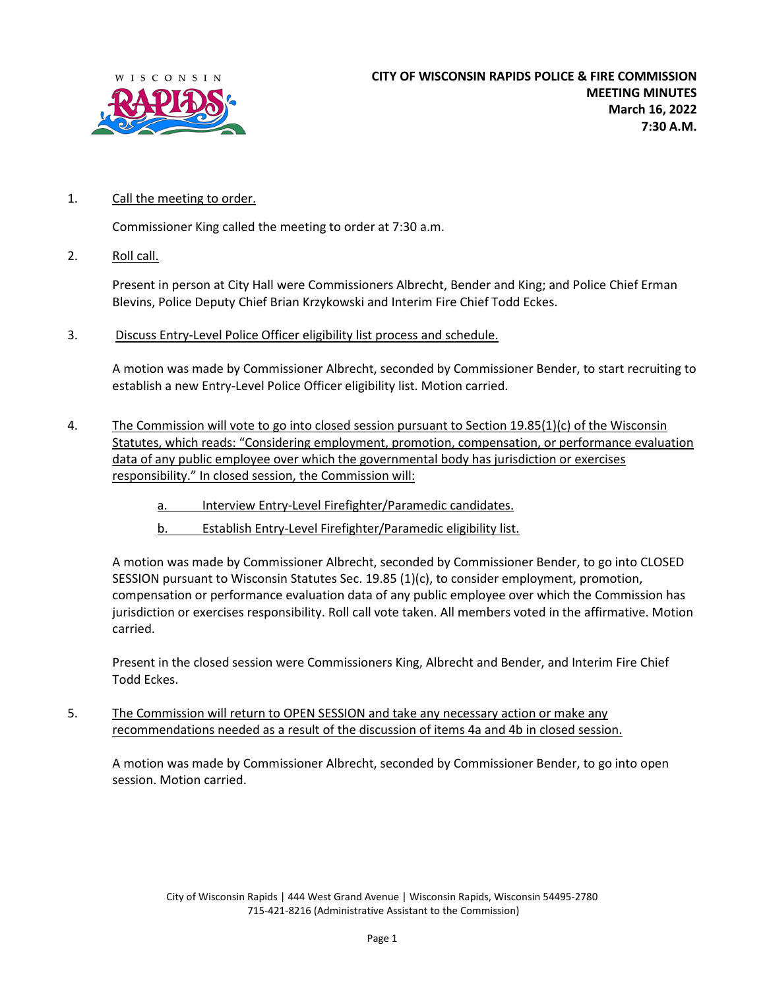

## 1. Call the meeting to order.

Commissioner King called the meeting to order at 7:30 a.m.

2. Roll call.

Present in person at City Hall were Commissioners Albrecht, Bender and King; and Police Chief Erman Blevins, Police Deputy Chief Brian Krzykowski and Interim Fire Chief Todd Eckes.

3. Discuss Entry-Level Police Officer eligibility list process and schedule.

A motion was made by Commissioner Albrecht, seconded by Commissioner Bender, to start recruiting to establish a new Entry-Level Police Officer eligibility list. Motion carried.

- 4. The Commission will vote to go into closed session pursuant to Section 19.85(1)(c) of the Wisconsin Statutes, which reads: "Considering employment, promotion, compensation, or performance evaluation data of any public employee over which the governmental body has jurisdiction or exercises responsibility." In closed session, the Commission will:
	- a. Interview Entry-Level Firefighter/Paramedic candidates.
	- b. Establish Entry-Level Firefighter/Paramedic eligibility list.

A motion was made by Commissioner Albrecht, seconded by Commissioner Bender, to go into CLOSED SESSION pursuant to Wisconsin Statutes Sec. 19.85 (1)(c), to consider employment, promotion, compensation or performance evaluation data of any public employee over which the Commission has jurisdiction or exercises responsibility. Roll call vote taken. All members voted in the affirmative. Motion carried.

Present in the closed session were Commissioners King, Albrecht and Bender, and Interim Fire Chief Todd Eckes.

5. The Commission will return to OPEN SESSION and take any necessary action or make any recommendations needed as a result of the discussion of items 4a and 4b in closed session.

A motion was made by Commissioner Albrecht, seconded by Commissioner Bender, to go into open session. Motion carried.